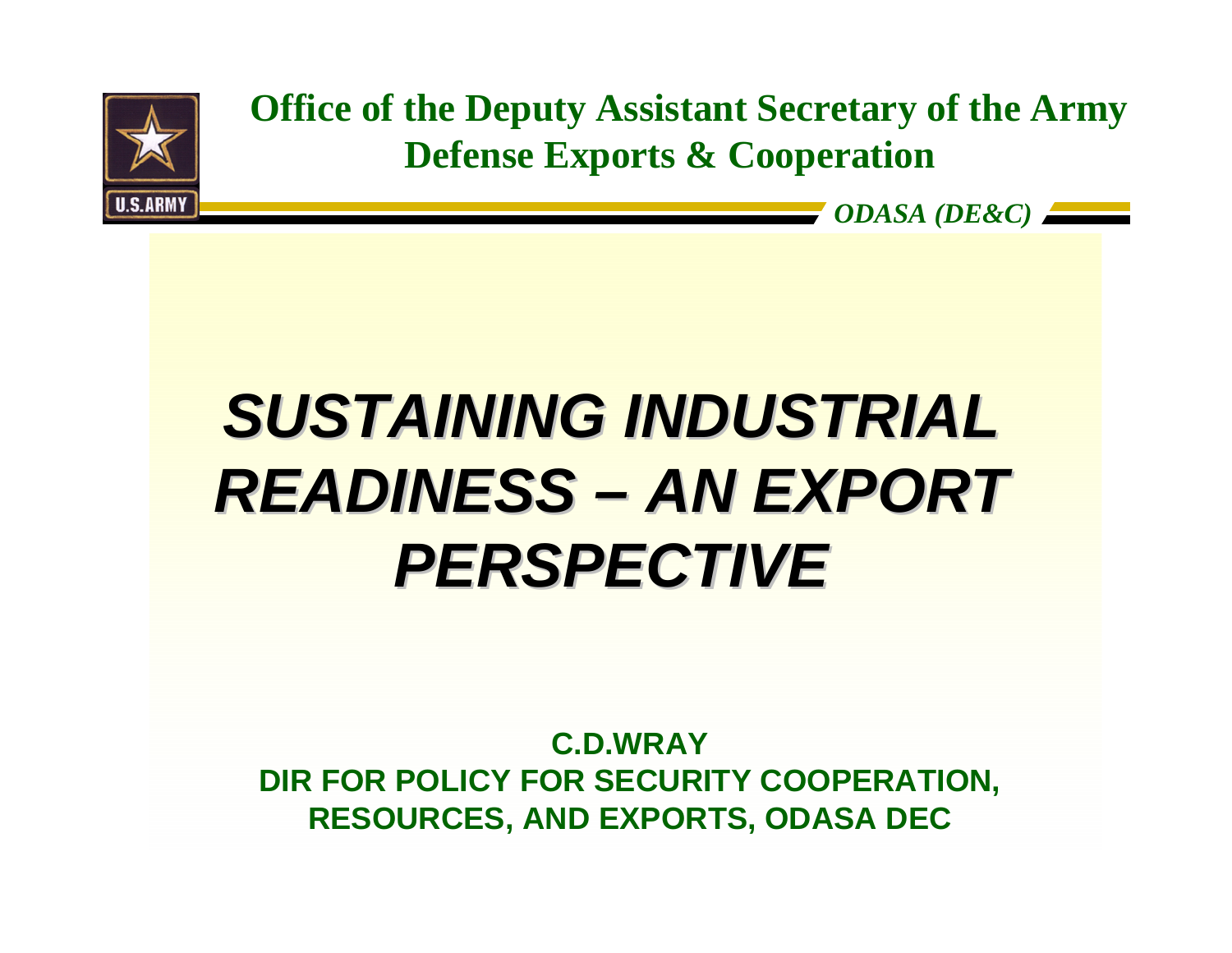

**Office of the Deputy Assistant Secretary of the Army Defense Exports & Cooperation**

*ODASA (DE&C)*

*SUSTAINING INDUSTRIAL SUSTAINING INDUSTRIAL*   $READINESS - AN EXPORT$ *PERSPECTIVE PERSPECTIVE*

**C.D.WRAYDIR FOR POLICY FOR SECURITY COOPERATION, RESOURCES, AND EXPORTS, ODASA DEC**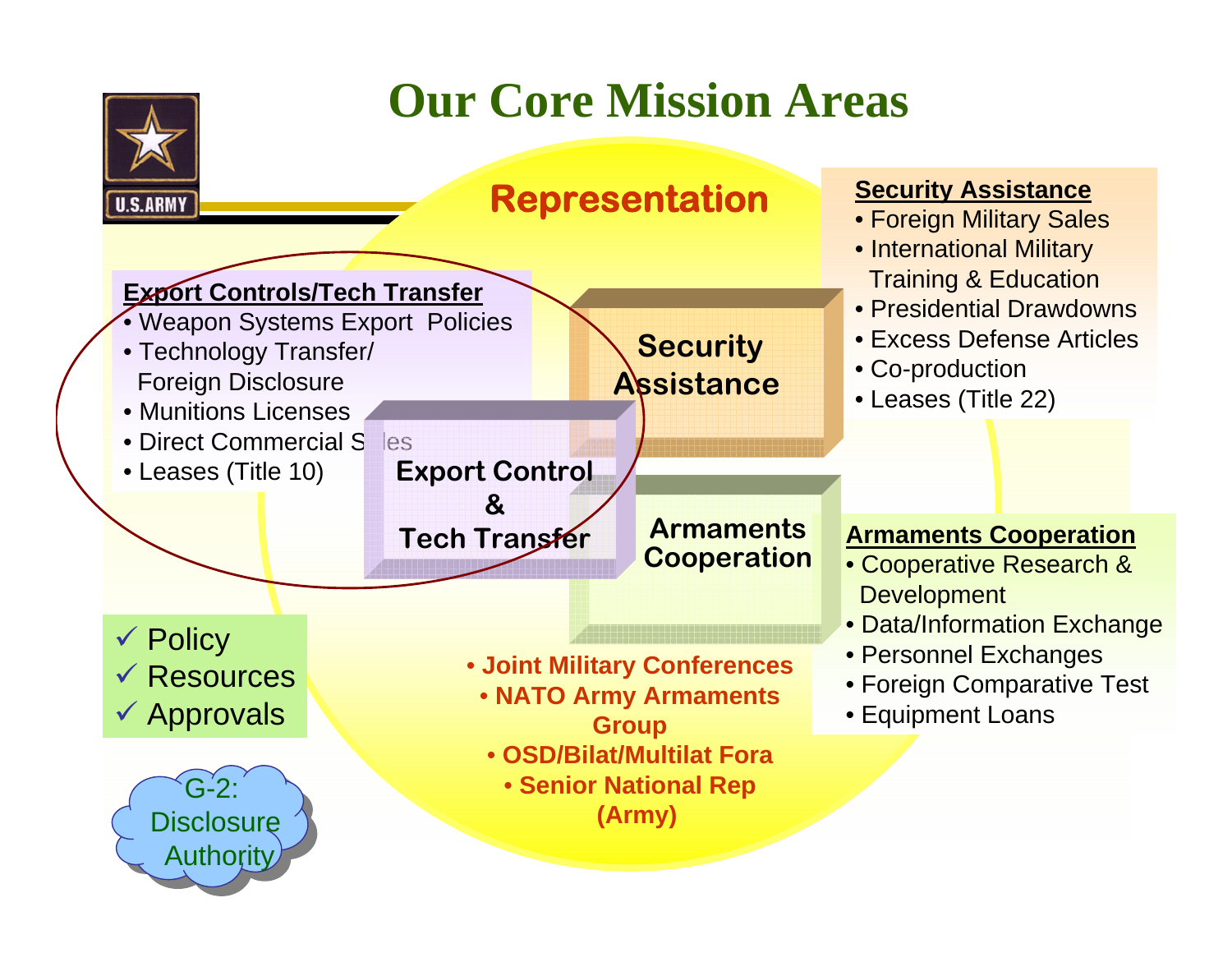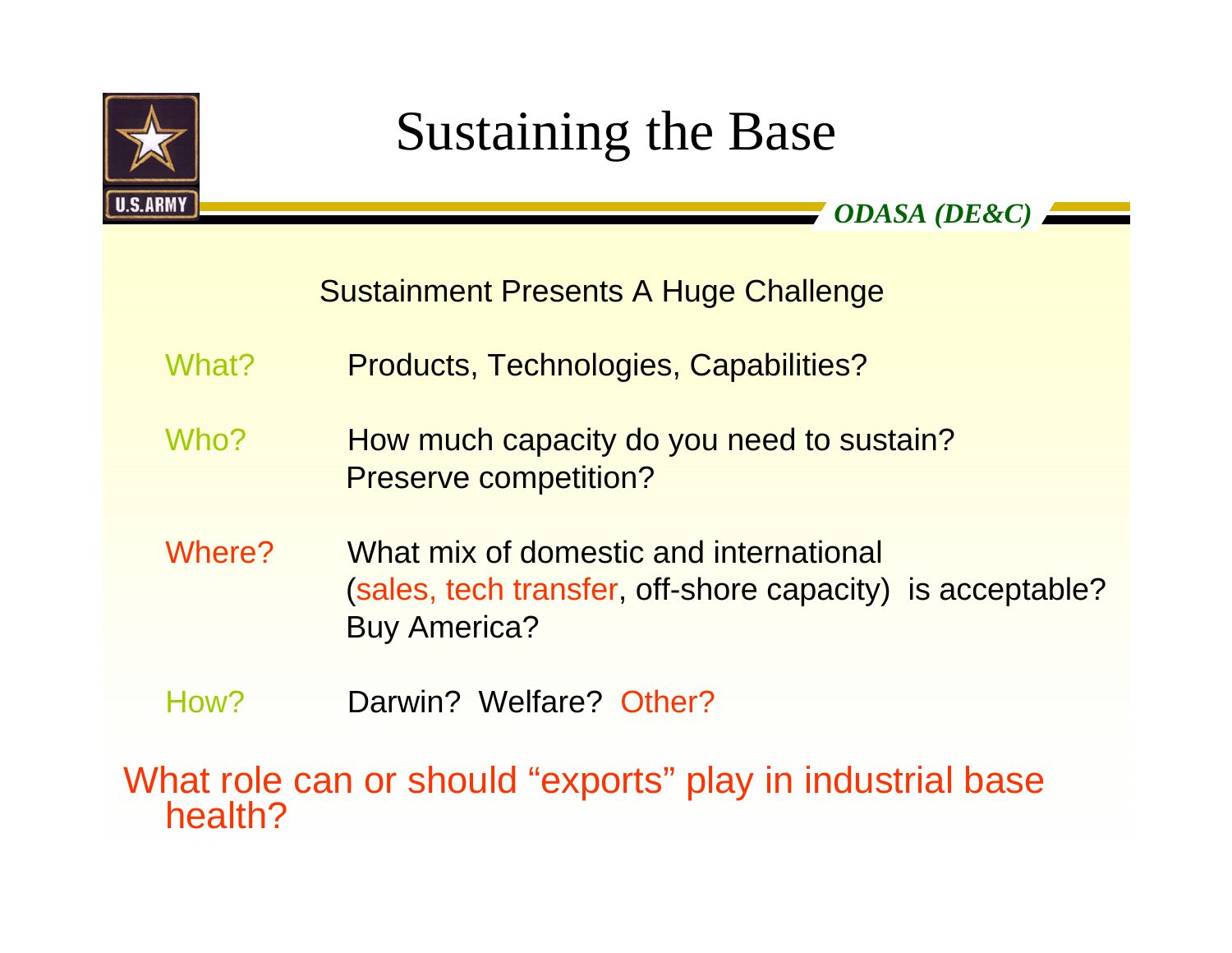

## Sustaining the Base

*ODASA (DE&C)*

Sustainment Presents A Huge Challenge

What? Products, Technologies, Capabilities?

- Who? How much capacity do you need to sustain? Preserve competition?
- Where? What mix of domestic and international (sales, tech transfer, off-shore capacity) is acceptable? Buy America?
- How? Darwin? Welfare? Other?

What role can or should "exports" play in industrial base health?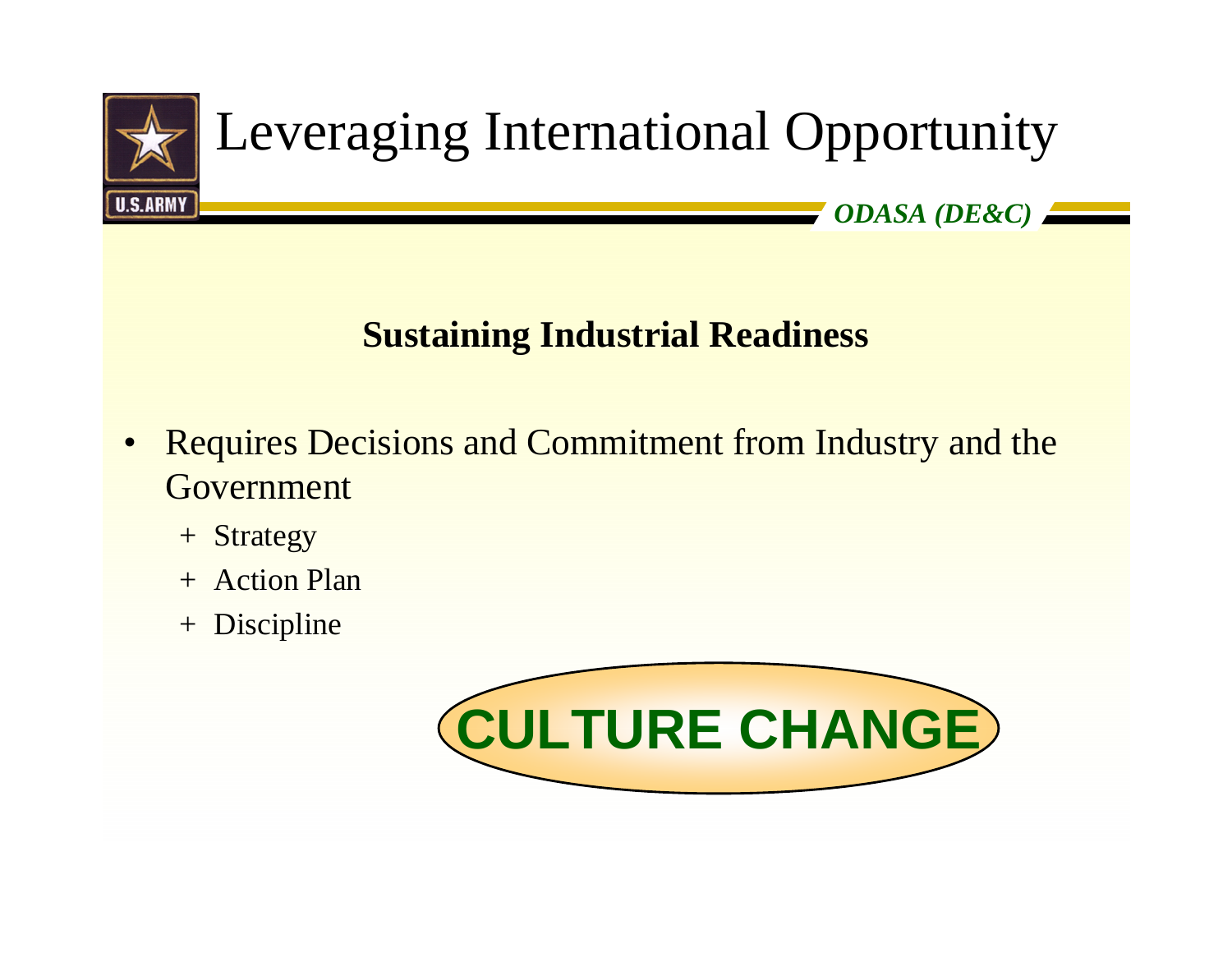

#### **Sustaining Industrial Readiness**

- $\bullet$  Requires Decisions and Commitment from Industry and the Government
	- <sup>+</sup> Strategy
	- + Action Plan
	- <sup>+</sup> Discipline

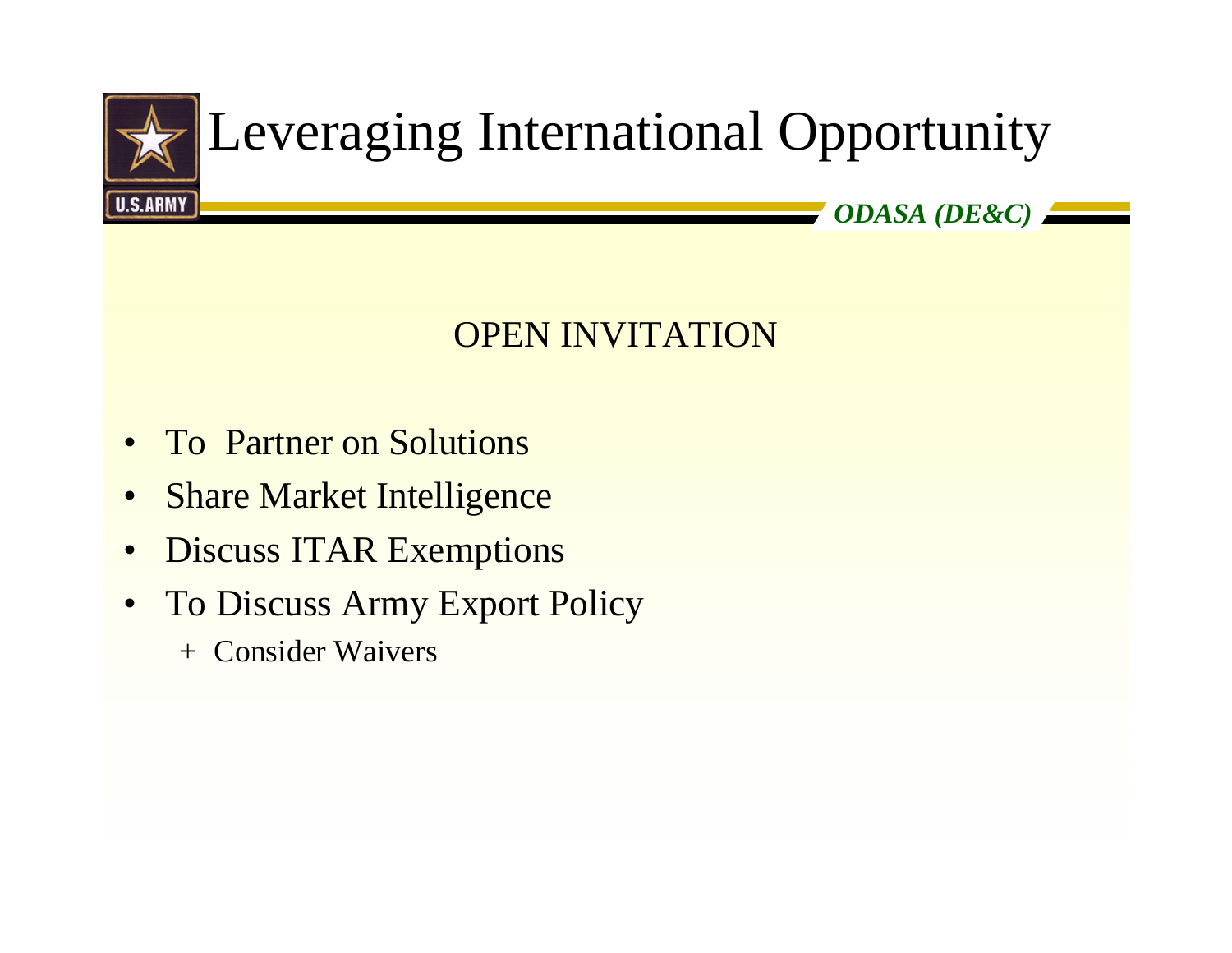

## Leveraging International Opportunity

*ODASA (DE&C)*

### OPEN INVITATION

- $\bullet$ To Partner on Solutions
- $\bullet$ Share Market Intelligence
- •Discuss ITAR Exemptions
- $\bullet$  To Discuss Army Export Policy
	- + Consider Waivers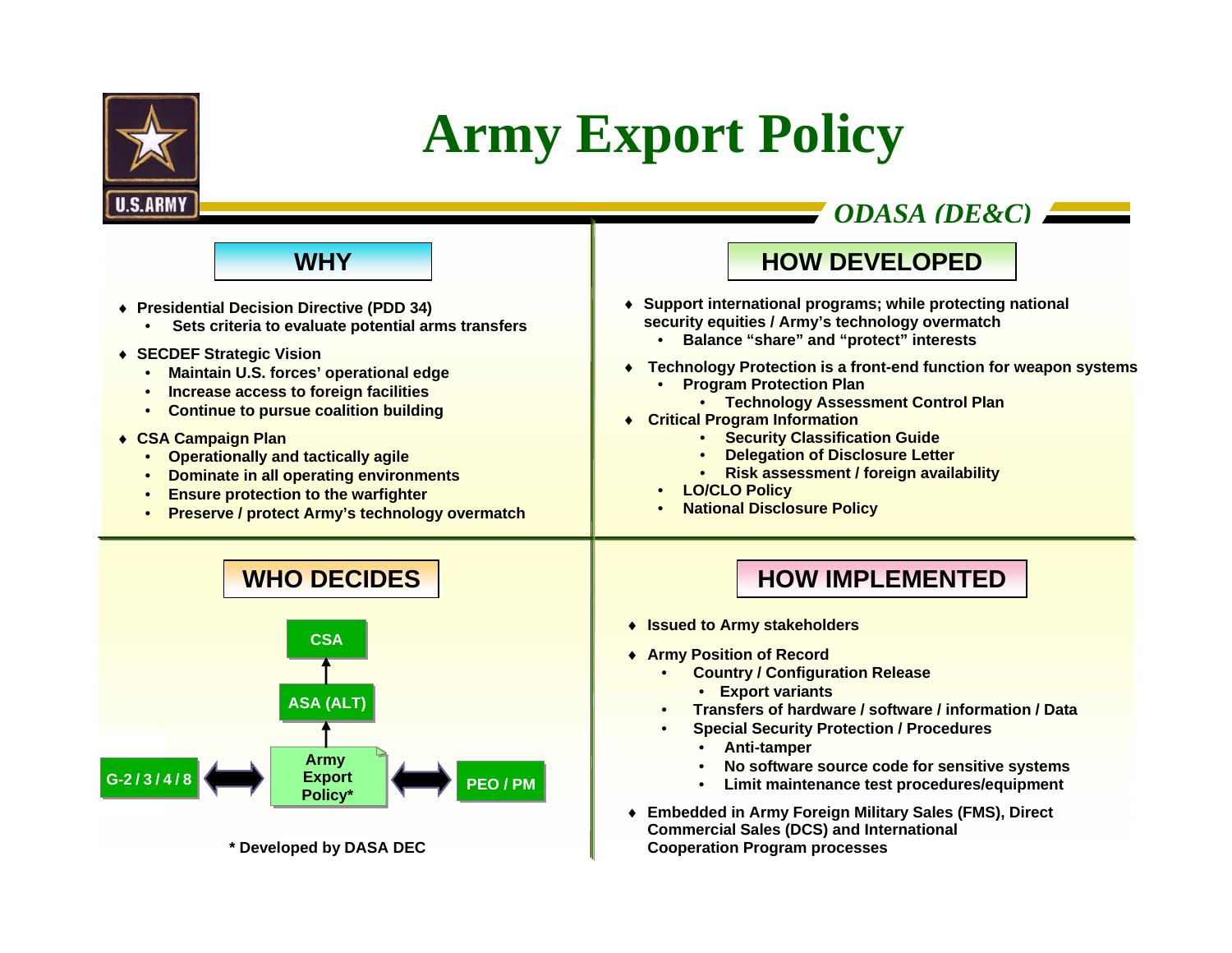

**G-2 / 3 / 4 / 8**

**\* Developed by DASA DEC**

**Army Export Policy\***

**ASA (ALT)**

### **Army Export Policy**

*ODASA (DE&C)* ♦ **Issued to Army stakeholders** ♦ **Army Position of Record** • **Country / Configuration Release SECARMYWHO DECIDESCSA**♦ **Presidential Decision Directive (PDD 34)** • **Sets criteria to evaluate potential arms transfers** ♦ **SECDEF Strategic Vision** • **Maintain U.S. forces' operational edge** • **Increase access to foreign facilities** • **Continue to pursue coalition building**  ♦ **CSA Campaign Plan** • **Operationally and tactically agile** • **Dominate in all operating environments** • **Ensure protection to the warfighter** • **Preserve / protect Army's technology overmatch WHY**♦ **Support international programs; while protecting national security equities / Army's technology overmatch** • **Balance "share" and "protect" interests** ♦ **Technology Protection is a front-end function for weapon systems** • **Program Protection Plan** • **Technology Assessment Control Plan** ♦ **Critical Program Information** • **Security Classification Guide** • **Delegation of Disclosure Letter** • **Risk assessment / foreign availability** • **LO/CLO Policy** • **National Disclosure Policy HOW IMPLEMENTEDHOW DEVELOPED**

•

**PEO / PM**

- **Export variants**
- **Transfers of hardware / software / information / Data**
- • **Special Security Protection / Procedures**
	- •**Anti-tamper**
	- •**No software source code for sensitive systems**
	- •**Limit maintenance test procedures/equipment**
- ♦ **Embedded in Army Foreign Military Sales (FMS), Direct Commercial Sales (DCS) and International Cooperation Program processes**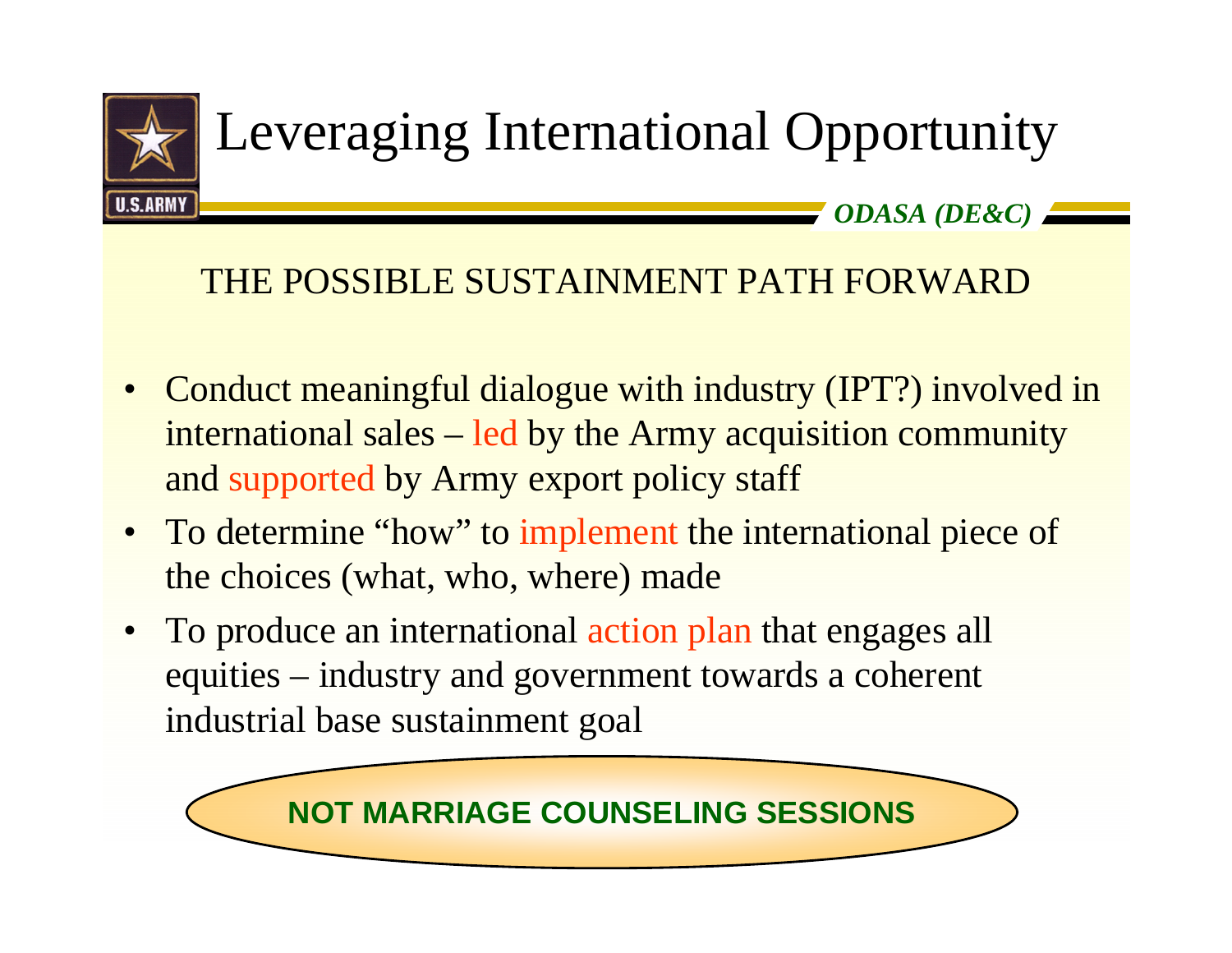

# Leveraging International Opportunity

*ODASA (DE&C)*

#### THE POSSIBLE SUSTAINMENT PATH FORWARD

- $\bullet$  Conduct meaningful dialogue with industry (IPT?) involved in international sales – led by the Army acquisition community and supported by Army export policy staff
- To determine "how" to implement the international piece of the choices (what, who, where) made
- To produce an international action plan that engages all equities – industry and government towards a coherent industrial base sustainment goal

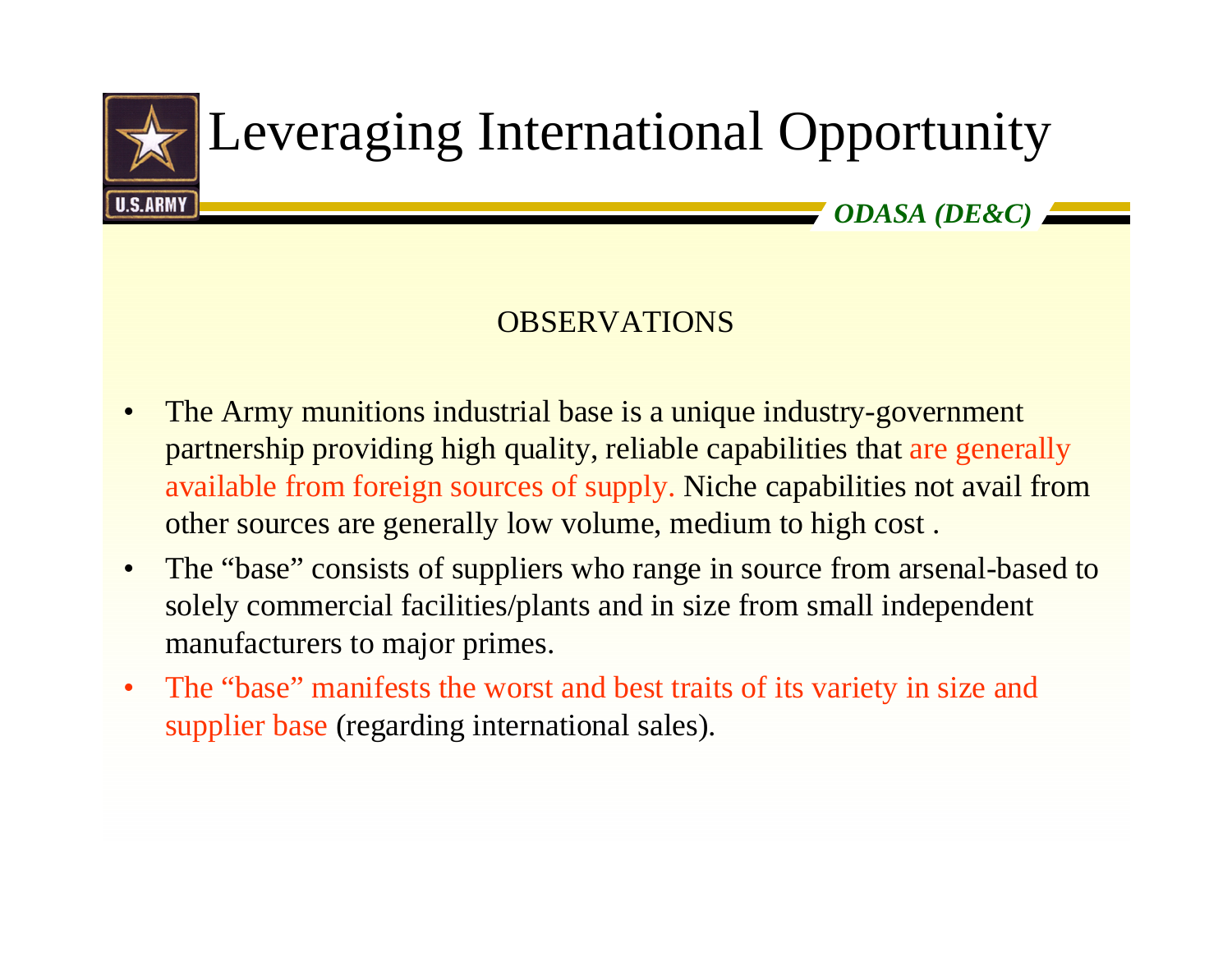

## Leveraging International Opportunity

*ODASA (DE&C)*

#### **OBSERVATIONS**

- $\bullet$  The Army munitions industrial base is a unique industry-government partnership providing high quality, reliable capabilities that are generally available from foreign sources of supply. Niche capabilities not avail from other sources are generally low volume, medium to high cost .
- $\bullet$  The "base" consists of suppliers who range in source from arsenal-based to solely commercial facilities/plants and in size from small independent manufacturers to major primes.
- $\bullet$  The "base" manifests the worst and best traits of its variety in size and supplier base (regarding international sales).